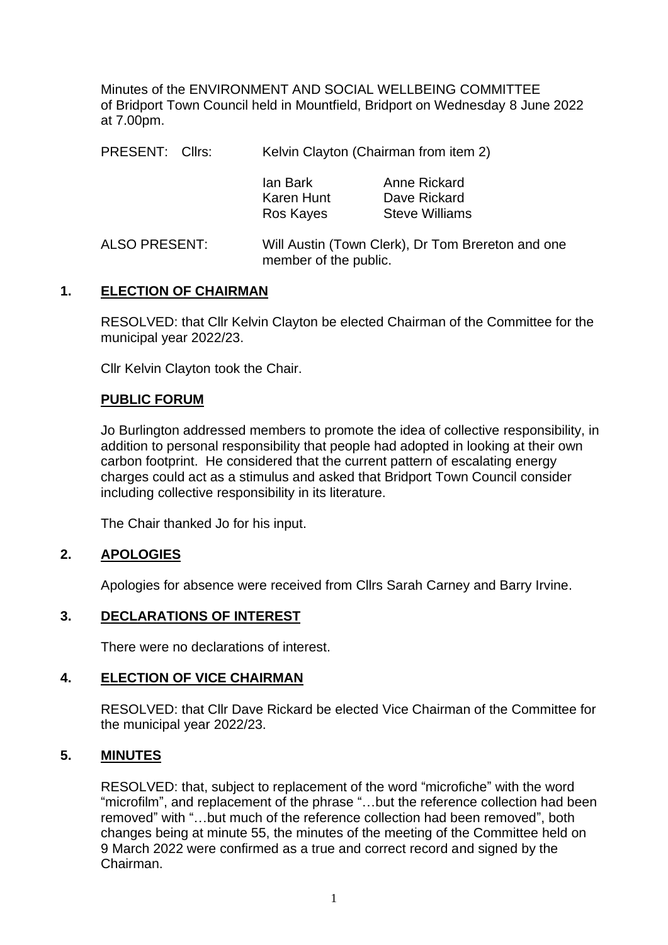Minutes of the ENVIRONMENT AND SOCIAL WELLBEING COMMITTEE of Bridport Town Council held in Mountfield, Bridport on Wednesday 8 June 2022 at 7.00pm.

| PRESENT: Cllrs: | Kelvin Clayton (Chairman from item 2)                                      |                                                       |
|-----------------|----------------------------------------------------------------------------|-------------------------------------------------------|
|                 | lan Bark<br>Karen Hunt<br>Ros Kayes                                        | Anne Rickard<br>Dave Rickard<br><b>Steve Williams</b> |
| ALSO PRESENT:   | Will Austin (Town Clerk), Dr Tom Brereton and one<br>member of the public. |                                                       |

### **1. ELECTION OF CHAIRMAN**

RESOLVED: that Cllr Kelvin Clayton be elected Chairman of the Committee for the municipal year 2022/23.

Cllr Kelvin Clayton took the Chair.

#### **PUBLIC FORUM**

Jo Burlington addressed members to promote the idea of collective responsibility, in addition to personal responsibility that people had adopted in looking at their own carbon footprint. He considered that the current pattern of escalating energy charges could act as a stimulus and asked that Bridport Town Council consider including collective responsibility in its literature.

The Chair thanked Jo for his input.

### **2. APOLOGIES**

Apologies for absence were received from Cllrs Sarah Carney and Barry Irvine.

### **3. DECLARATIONS OF INTEREST**

There were no declarations of interest.

#### **4. ELECTION OF VICE CHAIRMAN**

RESOLVED: that Cllr Dave Rickard be elected Vice Chairman of the Committee for the municipal year 2022/23.

### **5. MINUTES**

RESOLVED: that, subject to replacement of the word "microfiche" with the word "microfilm", and replacement of the phrase "…but the reference collection had been removed" with "…but much of the reference collection had been removed", both changes being at minute 55, the minutes of the meeting of the Committee held on 9 March 2022 were confirmed as a true and correct record and signed by the Chairman.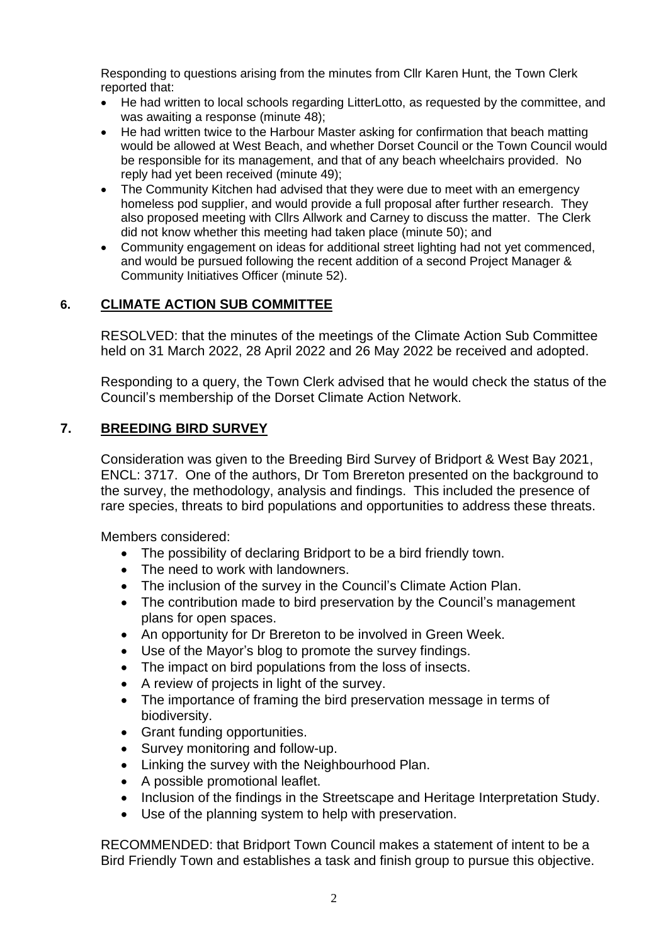Responding to questions arising from the minutes from Cllr Karen Hunt, the Town Clerk reported that:

- He had written to local schools regarding LitterLotto, as requested by the committee, and was awaiting a response (minute 48);
- He had written twice to the Harbour Master asking for confirmation that beach matting would be allowed at West Beach, and whether Dorset Council or the Town Council would be responsible for its management, and that of any beach wheelchairs provided. No reply had yet been received (minute 49);
- The Community Kitchen had advised that they were due to meet with an emergency homeless pod supplier, and would provide a full proposal after further research. They also proposed meeting with Cllrs Allwork and Carney to discuss the matter. The Clerk did not know whether this meeting had taken place (minute 50); and
- Community engagement on ideas for additional street lighting had not yet commenced, and would be pursued following the recent addition of a second Project Manager & Community Initiatives Officer (minute 52).

# **6. CLIMATE ACTION SUB COMMITTEE**

RESOLVED: that the minutes of the meetings of the Climate Action Sub Committee held on 31 March 2022, 28 April 2022 and 26 May 2022 be received and adopted.

Responding to a query, the Town Clerk advised that he would check the status of the Council's membership of the Dorset Climate Action Network.

## **7. BREEDING BIRD SURVEY**

Consideration was given to the Breeding Bird Survey of Bridport & West Bay 2021, ENCL: 3717. One of the authors, Dr Tom Brereton presented on the background to the survey, the methodology, analysis and findings. This included the presence of rare species, threats to bird populations and opportunities to address these threats.

Members considered:

- The possibility of declaring Bridport to be a bird friendly town.
- The need to work with landowners.
- The inclusion of the survey in the Council's Climate Action Plan.
- The contribution made to bird preservation by the Council's management plans for open spaces.
- An opportunity for Dr Brereton to be involved in Green Week.
- Use of the Mayor's blog to promote the survey findings.
- The impact on bird populations from the loss of insects.
- A review of projects in light of the survey.
- The importance of framing the bird preservation message in terms of biodiversity.
- Grant funding opportunities.
- Survey monitoring and follow-up.
- Linking the survey with the Neighbourhood Plan.
- A possible promotional leaflet.
- Inclusion of the findings in the Streetscape and Heritage Interpretation Study.
- Use of the planning system to help with preservation.

RECOMMENDED: that Bridport Town Council makes a statement of intent to be a Bird Friendly Town and establishes a task and finish group to pursue this objective.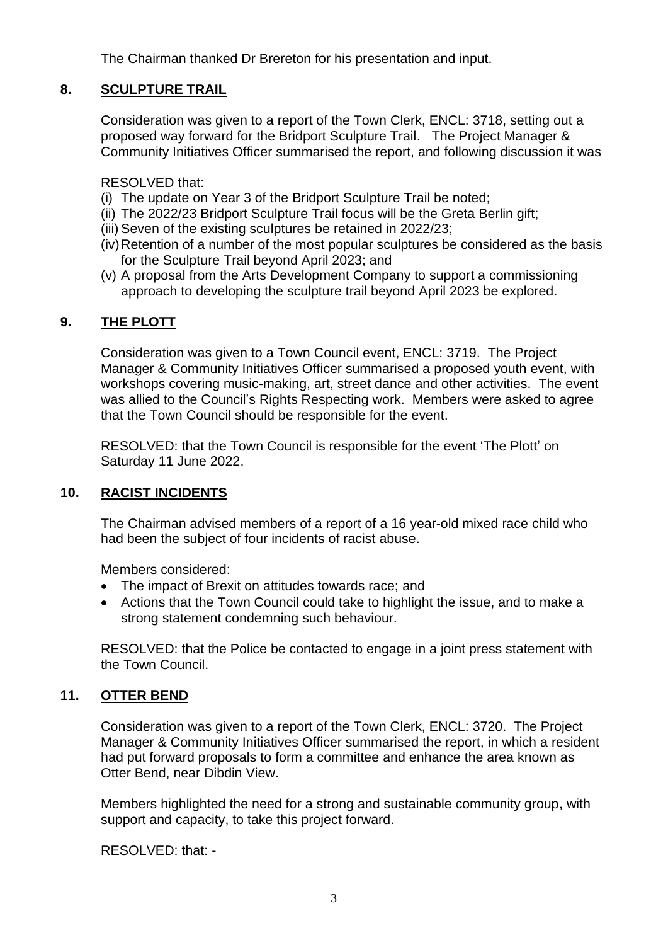The Chairman thanked Dr Brereton for his presentation and input.

# **8. SCULPTURE TRAIL**

Consideration was given to a report of the Town Clerk, ENCL: 3718, setting out a proposed way forward for the Bridport Sculpture Trail. The Project Manager & Community Initiatives Officer summarised the report, and following discussion it was

RESOLVED that:

- (i) The update on Year 3 of the Bridport Sculpture Trail be noted;
- (ii) The 2022/23 Bridport Sculpture Trail focus will be the Greta Berlin gift;
- (iii) Seven of the existing sculptures be retained in 2022/23;
- (iv)Retention of a number of the most popular sculptures be considered as the basis for the Sculpture Trail beyond April 2023; and
- (v) A proposal from the Arts Development Company to support a commissioning approach to developing the sculpture trail beyond April 2023 be explored.

## **9. THE PLOTT**

Consideration was given to a Town Council event, ENCL: 3719. The Project Manager & Community Initiatives Officer summarised a proposed youth event, with workshops covering music-making, art, street dance and other activities. The event was allied to the Council's Rights Respecting work. Members were asked to agree that the Town Council should be responsible for the event.

RESOLVED: that the Town Council is responsible for the event 'The Plott' on Saturday 11 June 2022.

### **10. RACIST INCIDENTS**

The Chairman advised members of a report of a 16 year-old mixed race child who had been the subject of four incidents of racist abuse.

Members considered:

- The impact of Brexit on attitudes towards race; and
- Actions that the Town Council could take to highlight the issue, and to make a strong statement condemning such behaviour.

RESOLVED: that the Police be contacted to engage in a joint press statement with the Town Council.

## **11. OTTER BEND**

Consideration was given to a report of the Town Clerk, ENCL: 3720. The Project Manager & Community Initiatives Officer summarised the report, in which a resident had put forward proposals to form a committee and enhance the area known as Otter Bend, near Dibdin View.

Members highlighted the need for a strong and sustainable community group, with support and capacity, to take this project forward.

RESOLVED: that: -